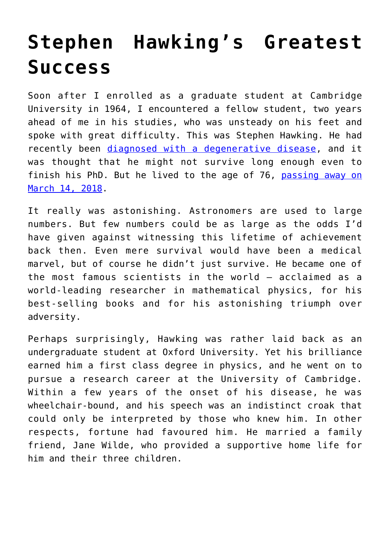## **[Stephen Hawking's Greatest](https://intellectualtakeout.org/2018/03/stephen-hawkings-greatest-success/) [Success](https://intellectualtakeout.org/2018/03/stephen-hawkings-greatest-success/)**

Soon after I enrolled as a graduate student at Cambridge University in 1964, I encountered a fellow student, two years ahead of me in his studies, who was unsteady on his feet and spoke with great difficulty. This was Stephen Hawking. He had recently been [diagnosed with a degenerative disease,](http://www.abc.net.au/news/health/2018-03-14/stephen-hawking-als-how-he-outlived-his-prognosis-for-so-long/9548110) and it was thought that he might not survive long enough even to finish his PhD. But he lived to the age of 76, [passing away on](https://www.theguardian.com/science/2018/mar/14/stephen-hawking-professor-dies-aged-76) [March 14, 2018](https://www.theguardian.com/science/2018/mar/14/stephen-hawking-professor-dies-aged-76).

It really was astonishing. Astronomers are used to large numbers. But few numbers could be as large as the odds I'd have given against witnessing this lifetime of achievement back then. Even mere survival would have been a medical marvel, but of course he didn't just survive. He became one of the most famous scientists in the world – acclaimed as a world-leading researcher in mathematical physics, for his best-selling books and for his astonishing triumph over adversity.

Perhaps surprisingly, Hawking was rather laid back as an undergraduate student at Oxford University. Yet his brilliance earned him a first class degree in physics, and he went on to pursue a research career at the University of Cambridge. Within a few years of the onset of his disease, he was wheelchair-bound, and his speech was an indistinct croak that could only be interpreted by those who knew him. In other respects, fortune had favoured him. He married a family friend, Jane Wilde, who provided a supportive home life for him and their three children.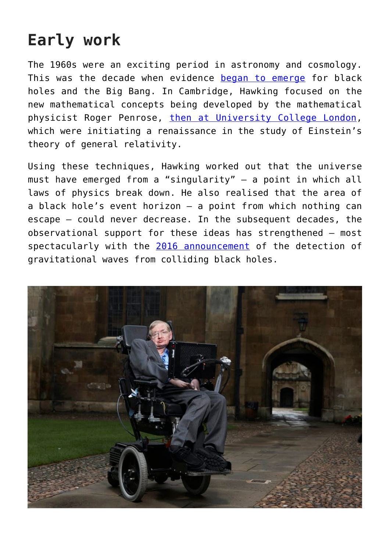## **Early work**

The 1960s were an exciting period in astronomy and cosmology. This was the decade when evidence [began to emerge](https://www.space.com/25126-big-bang-theory.html) for black holes and the Big Bang. In Cambridge, Hawking focused on the new mathematical concepts being developed by the mathematical physicist Roger Penrose, [then at University College London,](http://www.ucl.ac.uk/livergroup/trustee.html) which were initiating a renaissance in the study of Einstein's theory of general relativity.

Using these techniques, Hawking worked out that the universe must have emerged from a "singularity" – a point in which all laws of physics break down. He also realised that the area of a black hole's event horizon – a point from which nothing can escape – could never decrease. In the subsequent decades, the observational support for these ideas has strengthened – most spectacularly with the [2016 announcement](https://theconversation.com/explainer-what-are-gravitational-waves-53239) of the detection of gravitational waves from colliding black holes.

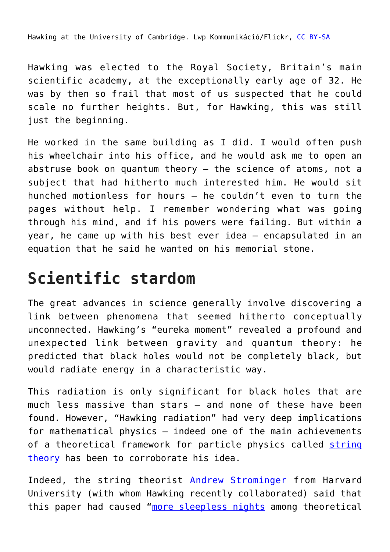Hawking at the University of Cambridge. Lwp Kommunikáció/Flickr, [CC BY-SA](http://creativecommons.org/licenses/by-sa/4.0/)

Hawking was elected to the Royal Society, Britain's main scientific academy, at the exceptionally early age of 32. He was by then so frail that most of us suspected that he could scale no further heights. But, for Hawking, this was still just the beginning.

He worked in the same building as I did. I would often push his wheelchair into his office, and he would ask me to open an abstruse book on quantum theory – the science of atoms, not a subject that had hitherto much interested him. He would sit hunched motionless for hours – he couldn't even to turn the pages without help. I remember wondering what was going through his mind, and if his powers were failing. But within a year, he came up with his best ever idea – encapsulated in an equation that he said he wanted on his memorial stone.

## **Scientific stardom**

The great advances in science generally involve discovering a link between phenomena that seemed hitherto conceptually unconnected. Hawking's "eureka moment" revealed a profound and unexpected link between gravity and quantum theory: he predicted that black holes would not be completely black, but would radiate energy in a characteristic way.

This radiation is only significant for black holes that are much less massive than stars – and none of these have been found. However, "Hawking radiation" had very deep implications for mathematical physics – indeed one of the main achievements of a theoretical framework for particle physics called [string](https://theconversation.com/explainer-string-theory-2983) [theory](https://theconversation.com/explainer-string-theory-2983) has been to corroborate his idea.

Indeed, the string theorist [Andrew Strominger](https://www.physics.harvard.edu/people/facpages/strominger) from Harvard University (with whom Hawking recently collaborated) said that this paper had caused "[more sleepless nights](https://www.nature.com/articles/d41586-018-02839-9) among theoretical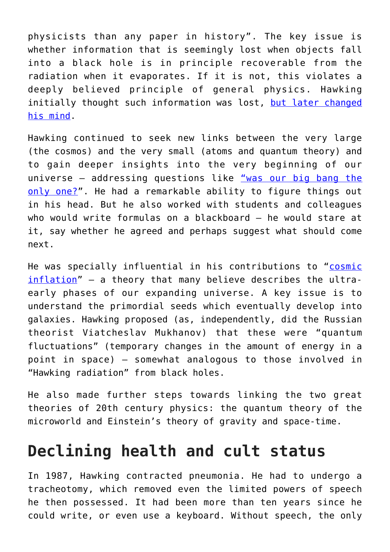physicists than any paper in history". The key issue is whether information that is seemingly lost when objects fall into a black hole is in principle recoverable from the radiation when it evaporates. If it is not, this violates a deeply believed principle of general physics. Hawking initially thought such information was lost, [but later changed](https://en.wikipedia.org/wiki/Thorne%E2%80%93Hawking%E2%80%93Preskill_bet) [his mind.](https://en.wikipedia.org/wiki/Thorne%E2%80%93Hawking%E2%80%93Preskill_bet)

Hawking continued to seek new links between the very large (the cosmos) and the very small (atoms and quantum theory) and to gain deeper insights into the very beginning of our universe – addressing questions like ["was our big bang the](https://www.theatlantic.com/science/archive/2016/08/the-multiverse-as-imagination-killer/497417/) [only one?"](https://www.theatlantic.com/science/archive/2016/08/the-multiverse-as-imagination-killer/497417/). He had a remarkable ability to figure things out in his head. But he also worked with students and colleagues who would write formulas on a blackboard – he would stare at it, say whether he agreed and perhaps suggest what should come next.

He was specially influential in his contributions to "[cosmic](http://www.ctc.cam.ac.uk/outreach/origins/inflation_zero.php) [inflation](http://www.ctc.cam.ac.uk/outreach/origins/inflation_zero.php)" – a theory that many believe describes the ultraearly phases of our expanding universe. A key issue is to understand the primordial seeds which eventually develop into galaxies. Hawking proposed (as, independently, did the Russian theorist Viatcheslav Mukhanov) that these were "quantum fluctuations" (temporary changes in the amount of energy in a point in space) – somewhat analogous to those involved in "Hawking radiation" from black holes.

He also made further steps towards linking the two great theories of 20th century physics: the quantum theory of the microworld and Einstein's theory of gravity and space-time.

## **Declining health and cult status**

In 1987, Hawking contracted pneumonia. He had to undergo a tracheotomy, which removed even the limited powers of speech he then possessed. It had been more than ten years since he could write, or even use a keyboard. Without speech, the only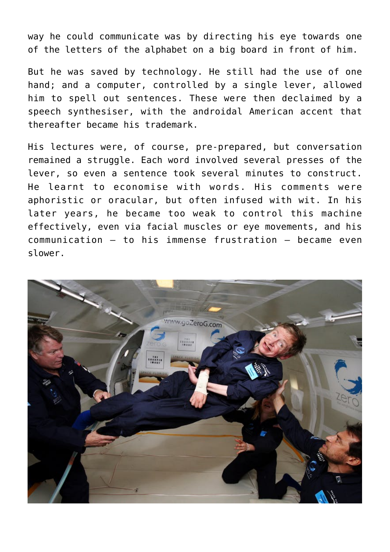way he could communicate was by directing his eye towards one of the letters of the alphabet on a big board in front of him.

But he was saved by technology. He still had the use of one hand; and a computer, controlled by a single lever, allowed him to spell out sentences. These were then declaimed by a speech synthesiser, with the androidal American accent that thereafter became his trademark.

His lectures were, of course, pre-prepared, but conversation remained a struggle. Each word involved several presses of the lever, so even a sentence took several minutes to construct. He learnt to economise with words. His comments were aphoristic or oracular, but often infused with wit. In his later years, he became too weak to control this machine effectively, even via facial muscles or eye movements, and his communication – to his immense frustration – became even slower.

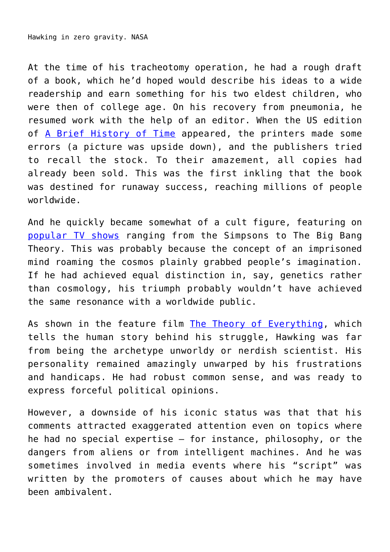At the time of his tracheotomy operation, he had a rough draft of a book, which he'd hoped would describe his ideas to a wide readership and earn something for his two eldest children, who were then of college age. On his recovery from pneumonia, he resumed work with the help of an editor. When the US edition of [A Brief History of Time](https://www.theguardian.com/science/2018/mar/14/a-brief-history-of-stephen-hawkings-brief-history-of-time) appeared, the printers made some errors (a picture was upside down), and the publishers tried to recall the stock. To their amazement, all copies had already been sold. This was the first inkling that the book was destined for runaway success, reaching millions of people worldwide.

And he quickly became somewhat of a cult figure, featuring on [popular TV shows](https://www.theguardian.com/science/2018/mar/14/from-the-simpsons-to-pink-floyd-stephen-hawking-in-popular-culture) ranging from the Simpsons to The Big Bang Theory. This was probably because the concept of an imprisoned mind roaming the cosmos plainly grabbed people's imagination. If he had achieved equal distinction in, say, genetics rather than cosmology, his triumph probably wouldn't have achieved the same resonance with a worldwide public.

As shown in the feature film [The Theory of Everything,](https://theconversation.com/the-theory-of-everything-is-inspiring-despite-a-hackneyed-treatment-of-hawkings-work-35348) which tells the human story behind his struggle, Hawking was far from being the archetype unworldy or nerdish scientist. His personality remained amazingly unwarped by his frustrations and handicaps. He had robust common sense, and was ready to express forceful political opinions.

However, a downside of his iconic status was that that his comments attracted exaggerated attention even on topics where he had no special expertise – for instance, philosophy, or the dangers from aliens or from intelligent machines. And he was sometimes involved in media events where his "script" was written by the promoters of causes about which he may have been ambivalent.